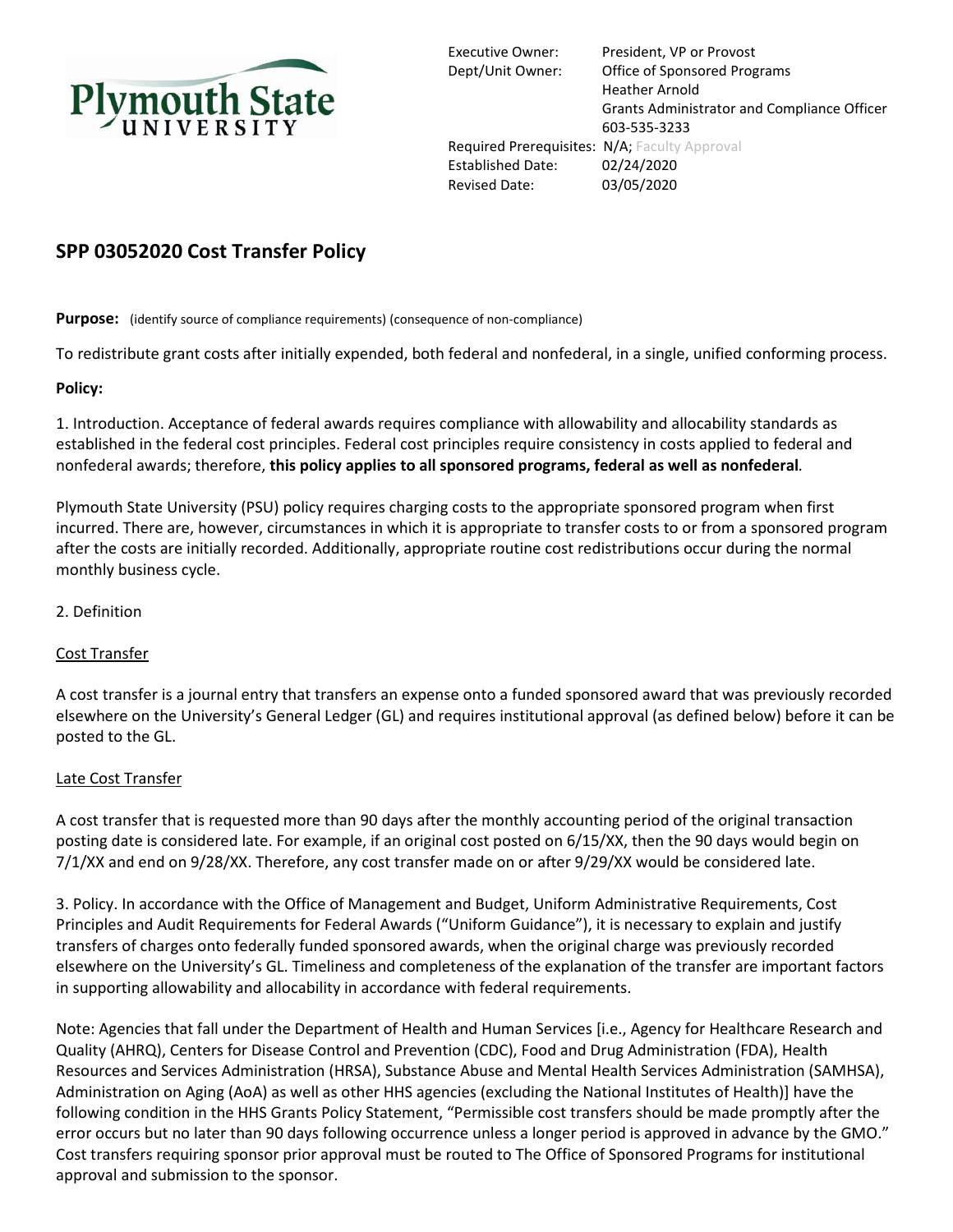

Executive Owner: President, VP or Provost Dept/Unit Owner: Office of Sponsored Programs Heather Arnold Grants Administrator and Compliance Officer 603-535-3233 Required Prerequisites: N/A; Faculty Approval Established Date: 02/24/2020 Revised Date: 03/05/2020

# **SPP 03052020 Cost Transfer Policy**

**Purpose:** (identify source of compliance requirements) (consequence of non-compliance)

To redistribute grant costs after initially expended, both federal and nonfederal, in a single, unified conforming process.

## **Policy:**

1. Introduction. Acceptance of federal awards requires compliance with allowability and allocability standards as established in the federal cost principles. Federal cost principles require consistency in costs applied to federal and nonfederal awards; therefore, **this policy applies to all sponsored programs, federal as well as nonfederal***.*

Plymouth State University (PSU) policy requires charging costs to the appropriate sponsored program when first incurred. There are, however, circumstances in which it is appropriate to transfer costs to or from a sponsored program after the costs are initially recorded. Additionally, appropriate routine cost redistributions occur during the normal monthly business cycle.

## 2. Definition

### Cost Transfer

A cost transfer is a journal entry that transfers an expense onto a funded sponsored award that was previously recorded elsewhere on the University's General Ledger (GL) and requires institutional approval (as defined below) before it can be posted to the GL.

### Late Cost Transfer

A cost transfer that is requested more than 90 days after the monthly accounting period of the original transaction posting date is considered late. For example, if an original cost posted on 6/15/XX, then the 90 days would begin on 7/1/XX and end on 9/28/XX. Therefore, any cost transfer made on or after 9/29/XX would be considered late.

3. Policy. In accordance with the Office of Management and Budget, Uniform Administrative Requirements, Cost Principles and Audit Requirements for Federal Awards ("Uniform Guidance"), it is necessary to explain and justify transfers of charges onto federally funded sponsored awards, when the original charge was previously recorded elsewhere on the University's GL. Timeliness and completeness of the explanation of the transfer are important factors in supporting allowability and allocability in accordance with federal requirements.

Note: Agencies that fall under the Department of Health and Human Services [i.e., Agency for Healthcare Research and Quality (AHRQ), Centers for Disease Control and Prevention (CDC), Food and Drug Administration (FDA), Health Resources and Services Administration (HRSA), Substance Abuse and Mental Health Services Administration (SAMHSA), Administration on Aging (AoA) as well as other HHS agencies (excluding the National Institutes of Health)] have the following condition in the HHS Grants Policy Statement, "Permissible cost transfers should be made promptly after the error occurs but no later than 90 days following occurrence unless a longer period is approved in advance by the GMO." Cost transfers requiring sponsor prior approval must be routed to The Office of Sponsored Programs for institutional approval and submission to the sponsor.